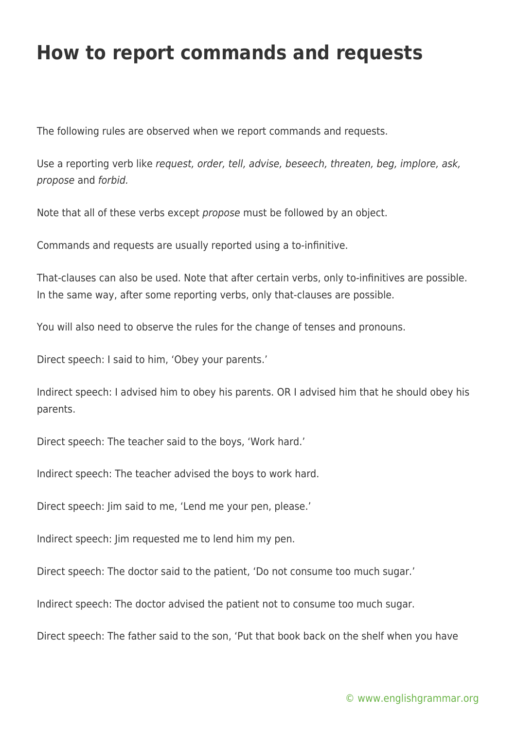## **How to report commands and requests**

The following rules are observed when we report commands and requests.

Use a reporting verb like request, order, tell, advise, beseech, threaten, beg, implore, ask, propose and forbid.

Note that all of these verbs except propose must be followed by an object.

Commands and requests are usually reported using a to-infinitive.

That-clauses can also be used. Note that after certain verbs, only to-infinitives are possible. In the same way, after some reporting verbs, only that-clauses are possible.

You will also need to observe the rules for the change of tenses and pronouns.

Direct speech: I said to him, 'Obey your parents.'

Indirect speech: I advised him to obey his parents. OR I advised him that he should obey his parents.

Direct speech: The teacher said to the boys, 'Work hard.'

Indirect speech: The teacher advised the boys to work hard.

Direct speech: Jim said to me, 'Lend me your pen, please.'

Indirect speech: Jim requested me to lend him my pen.

Direct speech: The doctor said to the patient, 'Do not consume too much sugar.'

Indirect speech: The doctor advised the patient not to consume too much sugar.

Direct speech: The father said to the son, 'Put that book back on the shelf when you have